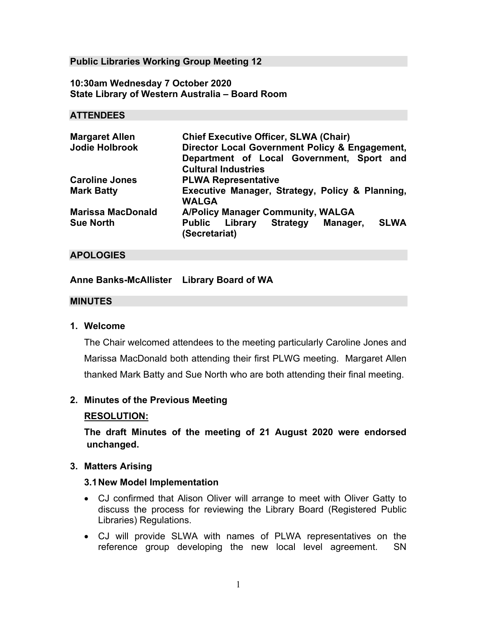### **Public Libraries Working Group Meeting 12**

### **10:30am Wednesday 7 October 2020 State Library of Western Australia – Board Room**

#### **ATTENDEES**

| <b>Margaret Allen</b>    | <b>Chief Executive Officer, SLWA (Chair)</b>                        |
|--------------------------|---------------------------------------------------------------------|
| <b>Jodie Holbrook</b>    | Director Local Government Policy & Engagement,                      |
|                          | Department of Local Government, Sport and                           |
|                          | <b>Cultural Industries</b>                                          |
| <b>Caroline Jones</b>    | <b>PLWA Representative</b>                                          |
| <b>Mark Batty</b>        | Executive Manager, Strategy, Policy & Planning,<br><b>WALGA</b>     |
| <b>Marissa MacDonald</b> | <b>A/Policy Manager Community, WALGA</b>                            |
| <b>Sue North</b>         | Public Library Strategy<br><b>SLWA</b><br>Manager,<br>(Secretariat) |

### **APOLOGIES**

### **Anne Banks-McAllister Library Board of WA**

#### **MINUTES**

### **1. Welcome**

The Chair welcomed attendees to the meeting particularly Caroline Jones and Marissa MacDonald both attending their first PLWG meeting. Margaret Allen thanked Mark Batty and Sue North who are both attending their final meeting.

#### **2. Minutes of the Previous Meeting**

#### **RESOLUTION:**

**The draft Minutes of the meeting of 21 August 2020 were endorsed unchanged.** 

#### **3. Matters Arising**

#### **3.1 New Model Implementation**

- CJ confirmed that Alison Oliver will arrange to meet with Oliver Gatty to discuss the process for reviewing the Library Board (Registered Public Libraries) Regulations.
- CJ will provide SLWA with names of PLWA representatives on the reference group developing the new local level agreement. SN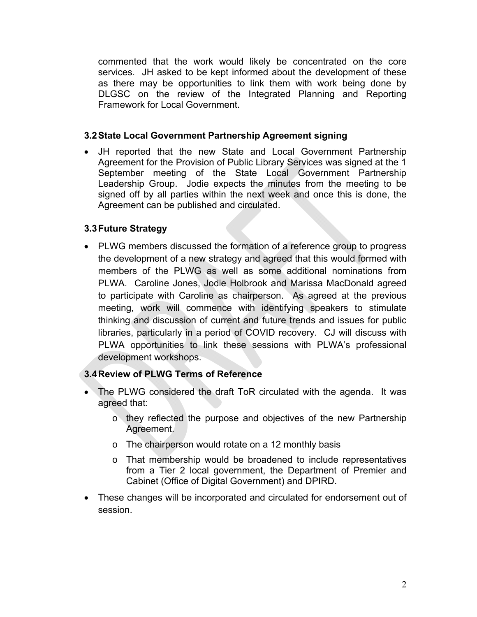commented that the work would likely be concentrated on the core services. JH asked to be kept informed about the development of these as there may be opportunities to link them with work being done by DLGSC on the review of the Integrated Planning and Reporting Framework for Local Government.

### **3.2 State Local Government Partnership Agreement signing**

 JH reported that the new State and Local Government Partnership Agreement for the Provision of Public Library Services was signed at the 1 September meeting of the State Local Government Partnership Leadership Group. Jodie expects the minutes from the meeting to be signed off by all parties within the next week and once this is done, the Agreement can be published and circulated.

## **3.3 Future Strategy**

• PLWG members discussed the formation of a reference group to progress the development of a new strategy and agreed that this would formed with members of the PLWG as well as some additional nominations from PLWA. Caroline Jones, Jodie Holbrook and Marissa MacDonald agreed to participate with Caroline as chairperson. As agreed at the previous meeting, work will commence with identifying speakers to stimulate thinking and discussion of current and future trends and issues for public libraries, particularly in a period of COVID recovery. CJ will discuss with PLWA opportunities to link these sessions with PLWA's professional development workshops.

## **3.4 Review of PLWG Terms of Reference**

- The PLWG considered the draft ToR circulated with the agenda. It was agreed that:
	- o they reflected the purpose and objectives of the new Partnership Agreement.
	- o The chairperson would rotate on a 12 monthly basis
	- o That membership would be broadened to include representatives from a Tier 2 local government, the Department of Premier and Cabinet (Office of Digital Government) and DPIRD.
- These changes will be incorporated and circulated for endorsement out of session.